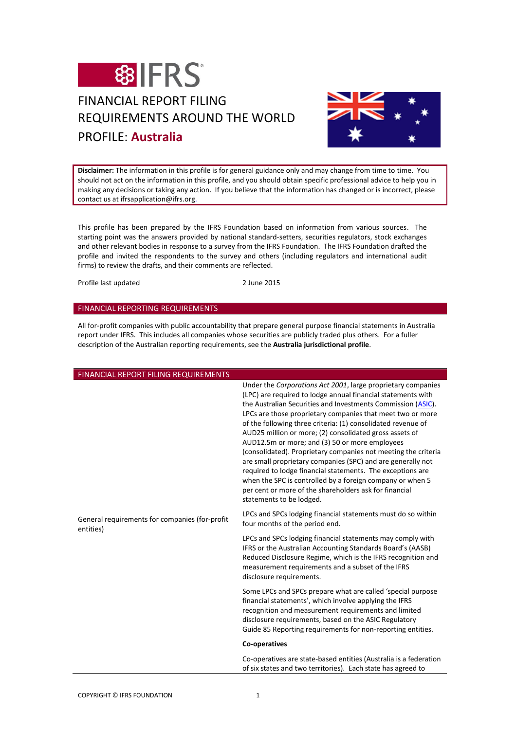

# FINANCIAL REPORT FILING REQUIREMENTS AROUND THE WORLD PROFILE: **Australia**



**Disclaimer:** The information in this profile is for general guidance only and may change from time to time. You should not act on the information in this profile, and you should obtain specific professional advice to help you in making any decisions or taking any action. If you believe that the information has changed or is incorrect, please contact us at ifrsapplication@ifrs.org.

This profile has been prepared by the IFRS Foundation based on information from various sources. The starting point was the answers provided by national standard-setters, securities regulators, stock exchanges and other relevant bodies in response to a survey from the IFRS Foundation. The IFRS Foundation drafted the profile and invited the respondents to the survey and others (including regulators and international audit firms) to review the drafts, and their comments are reflected.

Profile last updated 2 June 2015

# FINANCIAL REPORTING REQUIREMENTS

All for-profit companies with public accountability that prepare general purpose financial statements in Australia report under IFRS. This includes all companies whose securities are publicly traded plus others. For a fuller description of the Australian reporting requirements, see the **Australia jurisdictional profile**.

| FINANCIAL REPORT FILING REQUIREMENTS                        |                                                                                                                                                                                                                                                                                                                                                                                                                                                                                                                                                                                                                                                                                                                                                                                           |
|-------------------------------------------------------------|-------------------------------------------------------------------------------------------------------------------------------------------------------------------------------------------------------------------------------------------------------------------------------------------------------------------------------------------------------------------------------------------------------------------------------------------------------------------------------------------------------------------------------------------------------------------------------------------------------------------------------------------------------------------------------------------------------------------------------------------------------------------------------------------|
| General requirements for companies (for-profit<br>entities) | Under the Corporations Act 2001, large proprietary companies<br>(LPC) are required to lodge annual financial statements with<br>the Australian Securities and Investments Commission (ASIC).<br>LPCs are those proprietary companies that meet two or more<br>of the following three criteria: (1) consolidated revenue of<br>AUD25 million or more; (2) consolidated gross assets of<br>AUD12.5m or more; and (3) 50 or more employees<br>(consolidated). Proprietary companies not meeting the criteria<br>are small proprietary companies (SPC) and are generally not<br>required to lodge financial statements. The exceptions are<br>when the SPC is controlled by a foreign company or when 5<br>per cent or more of the shareholders ask for financial<br>statements to be lodged. |
|                                                             | LPCs and SPCs lodging financial statements must do so within<br>four months of the period end.                                                                                                                                                                                                                                                                                                                                                                                                                                                                                                                                                                                                                                                                                            |
|                                                             | LPCs and SPCs lodging financial statements may comply with<br>IFRS or the Australian Accounting Standards Board's (AASB)<br>Reduced Disclosure Regime, which is the IFRS recognition and<br>measurement requirements and a subset of the IFRS<br>disclosure requirements.                                                                                                                                                                                                                                                                                                                                                                                                                                                                                                                 |
|                                                             | Some LPCs and SPCs prepare what are called 'special purpose<br>financial statements', which involve applying the IFRS<br>recognition and measurement requirements and limited<br>disclosure requirements, based on the ASIC Regulatory<br>Guide 85 Reporting requirements for non-reporting entities.                                                                                                                                                                                                                                                                                                                                                                                                                                                                                     |
|                                                             | Co-operatives                                                                                                                                                                                                                                                                                                                                                                                                                                                                                                                                                                                                                                                                                                                                                                             |
|                                                             | Co-operatives are state-based entities (Australia is a federation<br>of six states and two territories). Each state has agreed to                                                                                                                                                                                                                                                                                                                                                                                                                                                                                                                                                                                                                                                         |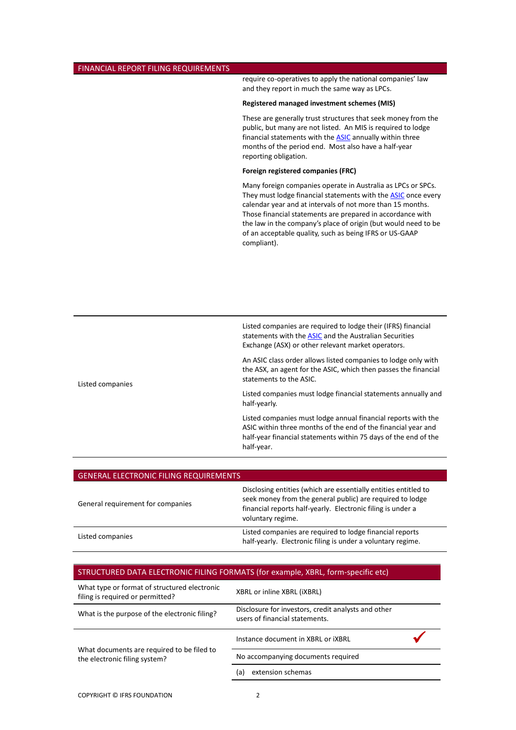### FINANCIAL REPORT FILING REQUIREMENTS

require co-operatives to apply the national companies' law and they report in much the same way as LPCs.

#### **Registered managed investment schemes (MIS)**

These are generally trust structures that seek money from the public, but many are not listed. An MIS is required to lodge financial statements with the **ASIC** annually within three months of the period end. Most also have a half-year reporting obligation.

#### **Foreign registered companies (FRC)**

Many foreign companies operate in Australia as LPCs or SPCs. They must lodge financial statements with the **ASIC** once every calendar year and at intervals of not more than 15 months. Those financial statements are prepared in accordance with the law in the company's place of origin (but would need to be of an acceptable quality, such as being IFRS or US-GAAP compliant).

Listed companies are required to lodge their (IFRS) financial statements with the **ASIC** and the Australian Securities Exchange (ASX) or other relevant market operators.

An ASIC class order allows listed companies to lodge only with the ASX, an agent for the ASIC, which then passes the financial statements to the ASIC.

Listed companies must lodge financial statements annually and half-yearly.

Listed companies must lodge annual financial reports with the ASIC within three months of the end of the financial year and half-year financial statements within 75 days of the end of the half-year.

| <b>GENERAL ELECTRONIC FILING REQUIREMENTS</b> |                                                                                                                                                                                                                  |
|-----------------------------------------------|------------------------------------------------------------------------------------------------------------------------------------------------------------------------------------------------------------------|
| General requirement for companies             | Disclosing entities (which are essentially entities entitled to<br>seek money from the general public) are required to lodge<br>financial reports half-yearly. Electronic filing is under a<br>voluntary regime. |
| Listed companies                              | Listed companies are required to lodge financial reports<br>half-yearly. Electronic filing is under a voluntary regime.                                                                                          |

| What type or format of structured electronic<br>filing is required or permitted? | XBRL or inline XBRL (IXBRL)                                                           |  |
|----------------------------------------------------------------------------------|---------------------------------------------------------------------------------------|--|
| What is the purpose of the electronic filing?                                    | Disclosure for investors, credit analysts and other<br>users of financial statements. |  |
| What documents are required to be filed to<br>the electronic filing system?      | Instance document in XBRL or IXBRL                                                    |  |
|                                                                                  | No accompanying documents required                                                    |  |
|                                                                                  | extension schemas<br>(a)                                                              |  |

Listed companies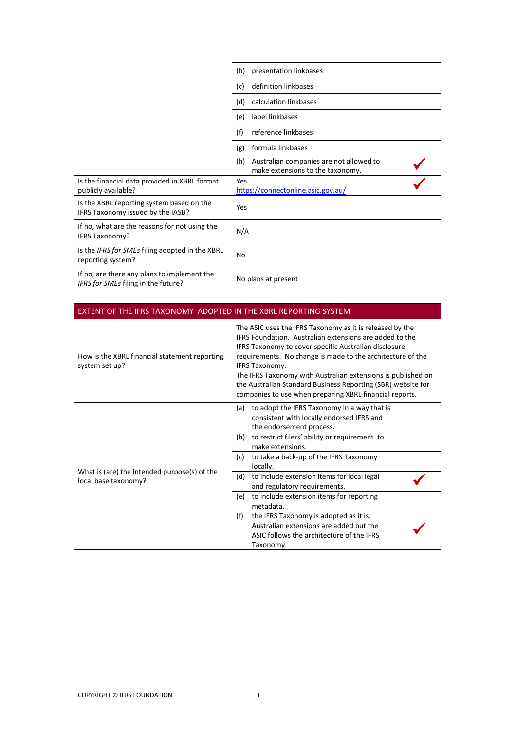|                                                                                    | presentation linkbases<br>(b)                                                      |
|------------------------------------------------------------------------------------|------------------------------------------------------------------------------------|
|                                                                                    | definition linkbases<br>(c)                                                        |
|                                                                                    | calculation linkbases<br>(d)                                                       |
|                                                                                    | label linkbases<br>(e)                                                             |
|                                                                                    | reference linkbases<br>(f)                                                         |
|                                                                                    | formula linkbases<br>(g)                                                           |
|                                                                                    | (h)<br>Australian companies are not allowed to<br>make extensions to the taxonomy. |
| Is the financial data provided in XBRL format<br>publicly available?               | Yes<br>https://connectonline.asic.gov.au/                                          |
| Is the XBRL reporting system based on the<br>IFRS Taxonomy issued by the IASB?     | Yes                                                                                |
| If no, what are the reasons for not using the<br>IFRS Taxonomy?                    | N/A                                                                                |
| Is the IFRS for SMEs filing adopted in the XBRL<br>reporting system?               | <b>No</b>                                                                          |
| If no, are there any plans to implement the<br>IFRS for SMEs filing in the future? | No plans at present                                                                |

# EXTENT OF THE IFRS TAXONOMY ADOPTED IN THE XBRL REPORTING SYSTEM

| How is the XBRL financial statement reporting<br>system set up?      |     | The ASIC uses the IFRS Taxonomy as it is released by the<br>IFRS Foundation. Australian extensions are added to the<br>IFRS Taxonomy to cover specific Australian disclosure<br>requirements. No change is made to the architecture of the<br><b>IFRS Taxonomy.</b><br>The IFRS Taxonomy with Australian extensions is published on<br>the Australian Standard Business Reporting (SBR) website for<br>companies to use when preparing XBRL financial reports. |
|----------------------------------------------------------------------|-----|----------------------------------------------------------------------------------------------------------------------------------------------------------------------------------------------------------------------------------------------------------------------------------------------------------------------------------------------------------------------------------------------------------------------------------------------------------------|
| What is (are) the intended purpose(s) of the<br>local base taxonomy? | (a) | to adopt the IFRS Taxonomy in a way that is<br>consistent with locally endorsed IFRS and<br>the endorsement process.                                                                                                                                                                                                                                                                                                                                           |
|                                                                      | (b) | to restrict filers' ability or requirement to<br>make extensions.                                                                                                                                                                                                                                                                                                                                                                                              |
|                                                                      | (c) | to take a back-up of the IFRS Taxonomy<br>locally.                                                                                                                                                                                                                                                                                                                                                                                                             |
|                                                                      | (d) | to include extension items for local legal<br>and regulatory requirements.                                                                                                                                                                                                                                                                                                                                                                                     |
|                                                                      | (e) | to include extension items for reporting<br>metadata.                                                                                                                                                                                                                                                                                                                                                                                                          |
|                                                                      | (f) | the IFRS Taxonomy is adopted as it is.<br>Australian extensions are added but the<br>ASIC follows the architecture of the IFRS<br>Taxonomy.                                                                                                                                                                                                                                                                                                                    |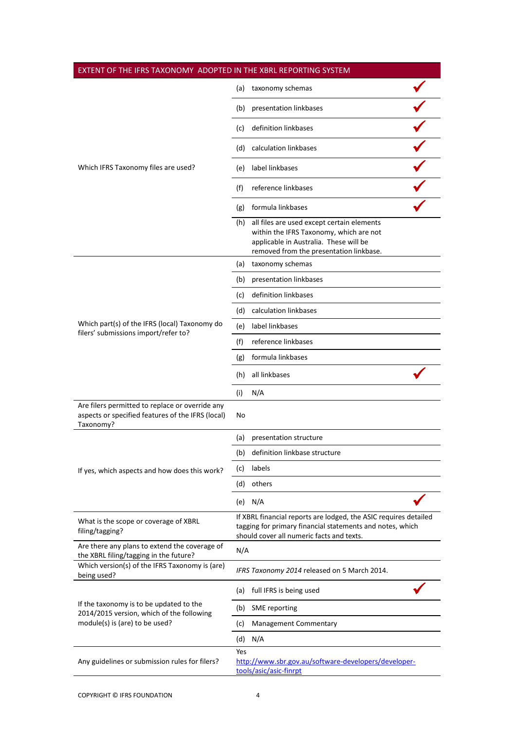| EXTENT OF THE IFRS TAXONOMY ADOPTED IN THE XBRL REPORTING SYSTEM                                                       |     |                                                                                                                                                                                |  |
|------------------------------------------------------------------------------------------------------------------------|-----|--------------------------------------------------------------------------------------------------------------------------------------------------------------------------------|--|
|                                                                                                                        | (a) | taxonomy schemas                                                                                                                                                               |  |
|                                                                                                                        | (b) | presentation linkbases                                                                                                                                                         |  |
|                                                                                                                        | (c) | definition linkbases                                                                                                                                                           |  |
|                                                                                                                        | (d) | calculation linkbases                                                                                                                                                          |  |
| Which IFRS Taxonomy files are used?                                                                                    | (e) | label linkbases                                                                                                                                                                |  |
|                                                                                                                        | (f) | reference linkbases                                                                                                                                                            |  |
|                                                                                                                        | (g) | formula linkbases                                                                                                                                                              |  |
|                                                                                                                        |     | (h) all files are used except certain elements<br>within the IFRS Taxonomy, which are not<br>applicable in Australia. These will be<br>removed from the presentation linkbase. |  |
|                                                                                                                        | (a) | taxonomy schemas                                                                                                                                                               |  |
|                                                                                                                        | (b) | presentation linkbases                                                                                                                                                         |  |
|                                                                                                                        | (c) | definition linkbases                                                                                                                                                           |  |
|                                                                                                                        | (d) | calculation linkbases                                                                                                                                                          |  |
| Which part(s) of the IFRS (local) Taxonomy do                                                                          | (e) | label linkbases                                                                                                                                                                |  |
| filers' submissions import/refer to?                                                                                   | (f) | reference linkbases                                                                                                                                                            |  |
|                                                                                                                        | (g) | formula linkbases                                                                                                                                                              |  |
|                                                                                                                        | (h) | all linkbases                                                                                                                                                                  |  |
|                                                                                                                        | (i) | N/A                                                                                                                                                                            |  |
| Are filers permitted to replace or override any<br>aspects or specified features of the IFRS (local)<br>Taxonomy?      | No  |                                                                                                                                                                                |  |
| If yes, which aspects and how does this work?                                                                          | (a) | presentation structure                                                                                                                                                         |  |
|                                                                                                                        |     | (b) definition linkbase structure                                                                                                                                              |  |
|                                                                                                                        | (c) | labels                                                                                                                                                                         |  |
|                                                                                                                        | (d) | others                                                                                                                                                                         |  |
|                                                                                                                        |     | (e) $N/A$                                                                                                                                                                      |  |
| What is the scope or coverage of XBRL<br>filing/tagging?                                                               |     | If XBRL financial reports are lodged, the ASIC requires detailed<br>tagging for primary financial statements and notes, which<br>should cover all numeric facts and texts.     |  |
| Are there any plans to extend the coverage of                                                                          | N/A |                                                                                                                                                                                |  |
| the XBRL filing/tagging in the future?<br>Which version(s) of the IFRS Taxonomy is (are)<br>being used?                |     | IFRS Taxonomy 2014 released on 5 March 2014.                                                                                                                                   |  |
| If the taxonomy is to be updated to the<br>2014/2015 version, which of the following<br>module(s) is (are) to be used? | (a) | full IFRS is being used                                                                                                                                                        |  |
|                                                                                                                        | (b) | SME reporting                                                                                                                                                                  |  |
|                                                                                                                        | (c) | <b>Management Commentary</b>                                                                                                                                                   |  |
|                                                                                                                        | (d) | N/A                                                                                                                                                                            |  |
| Any guidelines or submission rules for filers?                                                                         | Yes | http://www.sbr.gov.au/software-developers/developer-<br>tools/asic/asic-finrpt                                                                                                 |  |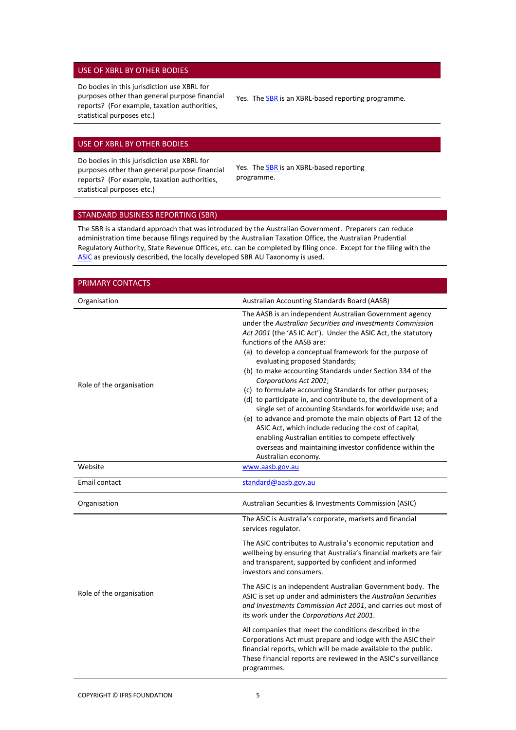#### USE OF XBRL BY OTHER BODIES

Do bodies in this jurisdiction use XBRL for purposes other than general purpose financial reports? (For example, taxation authorities, statistical purposes etc.)

Yes. The **SBR** is an XBRL-based reporting programme.

# USE OF XBRL BY OTHER BODIES

Do bodies in this jurisdiction use XBRL for purposes other than general purpose financial reports? (For example, taxation authorities, statistical purposes etc.)

Yes. The **SBR** is an XBRL-based reporting programme.

# <span id="page-4-0"></span>STANDARD BUSINESS REPORTING (SBR)

The SBR is a standard approach that was introduced by the Australian Government. Preparers can reduce administration time because filings required by the Australian Taxation Office, the Australian Prudential Regulatory Authority, State Revenue Offices, etc. can be completed by filing once. Except for the filing with the ASIC as previously described, the locally developed SBR AU Taxonomy is used.

| PRIMARY CONTACTS         |                                                                                                                                                                                                                                                                                                                                                                                                                                                                                                                                                                                                                                                                                                                                                                                                                                                                          |
|--------------------------|--------------------------------------------------------------------------------------------------------------------------------------------------------------------------------------------------------------------------------------------------------------------------------------------------------------------------------------------------------------------------------------------------------------------------------------------------------------------------------------------------------------------------------------------------------------------------------------------------------------------------------------------------------------------------------------------------------------------------------------------------------------------------------------------------------------------------------------------------------------------------|
| Organisation             | Australian Accounting Standards Board (AASB)                                                                                                                                                                                                                                                                                                                                                                                                                                                                                                                                                                                                                                                                                                                                                                                                                             |
| Role of the organisation | The AASB is an independent Australian Government agency<br>under the Australian Securities and Investments Commission<br>Act 2001 (the 'AS IC Act'). Under the ASIC Act, the statutory<br>functions of the AASB are:<br>(a) to develop a conceptual framework for the purpose of<br>evaluating proposed Standards;<br>(b) to make accounting Standards under Section 334 of the<br>Corporations Act 2001;<br>(c) to formulate accounting Standards for other purposes;<br>(d) to participate in, and contribute to, the development of a<br>single set of accounting Standards for worldwide use; and<br>(e) to advance and promote the main objects of Part 12 of the<br>ASIC Act, which include reducing the cost of capital,<br>enabling Australian entities to compete effectively<br>overseas and maintaining investor confidence within the<br>Australian economy. |
| Website                  | www.aasb.gov.au                                                                                                                                                                                                                                                                                                                                                                                                                                                                                                                                                                                                                                                                                                                                                                                                                                                          |
| Email contact            | standard@aasb.gov.au                                                                                                                                                                                                                                                                                                                                                                                                                                                                                                                                                                                                                                                                                                                                                                                                                                                     |
| Organisation             | Australian Securities & Investments Commission (ASIC)                                                                                                                                                                                                                                                                                                                                                                                                                                                                                                                                                                                                                                                                                                                                                                                                                    |
| Role of the organisation | The ASIC is Australia's corporate, markets and financial<br>services regulator.<br>The ASIC contributes to Australia's economic reputation and<br>wellbeing by ensuring that Australia's financial markets are fair<br>and transparent, supported by confident and informed<br>investors and consumers.<br>The ASIC is an independent Australian Government body. The<br>ASIC is set up under and administers the Australian Securities<br>and Investments Commission Act 2001, and carries out most of<br>its work under the Corporations Act 2001.<br>All companies that meet the conditions described in the<br>Corporations Act must prepare and lodge with the ASIC their<br>financial reports, which will be made available to the public.<br>These financial reports are reviewed in the ASIC's surveillance<br>programmes.                                       |